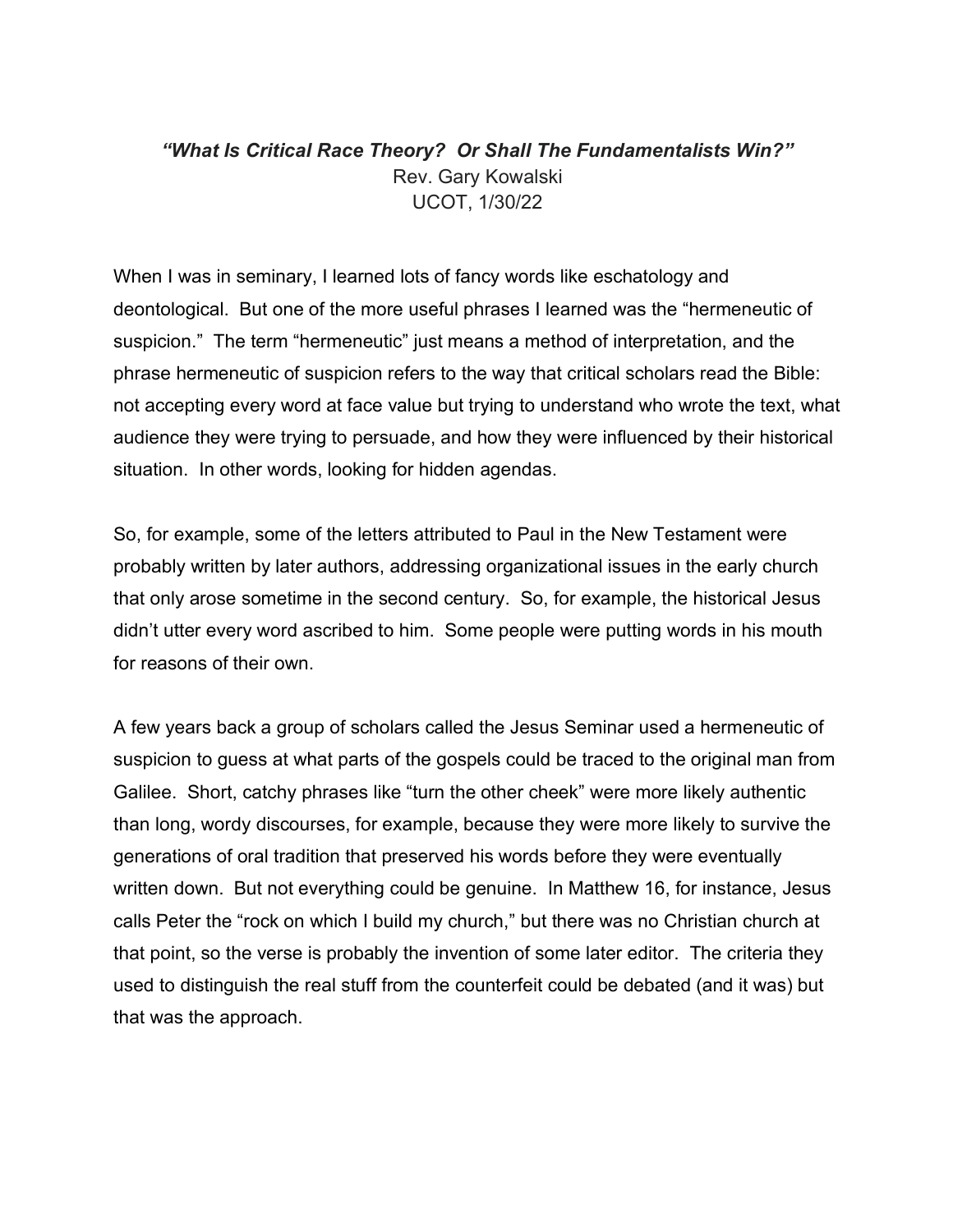## *"What Is Critical Race Theory? Or Shall The Fundamentalists Win?"* Rev. Gary Kowalski UCOT, 1/30/22

When I was in seminary, I learned lots of fancy words like eschatology and deontological. But one of the more useful phrases I learned was the "hermeneutic of suspicion." The term "hermeneutic" just means a method of interpretation, and the phrase hermeneutic of suspicion refers to the way that critical scholars read the Bible: not accepting every word at face value but trying to understand who wrote the text, what audience they were trying to persuade, and how they were influenced by their historical situation. In other words, looking for hidden agendas.

So, for example, some of the letters attributed to Paul in the New Testament were probably written by later authors, addressing organizational issues in the early church that only arose sometime in the second century. So, for example, the historical Jesus didn't utter every word ascribed to him. Some people were putting words in his mouth for reasons of their own.

A few years back a group of scholars called the Jesus Seminar used a hermeneutic of suspicion to guess at what parts of the gospels could be traced to the original man from Galilee. Short, catchy phrases like "turn the other cheek" were more likely authentic than long, wordy discourses, for example, because they were more likely to survive the generations of oral tradition that preserved his words before they were eventually written down. But not everything could be genuine. In Matthew 16, for instance, Jesus calls Peter the "rock on which I build my church," but there was no Christian church at that point, so the verse is probably the invention of some later editor. The criteria they used to distinguish the real stuff from the counterfeit could be debated (and it was) but that was the approach.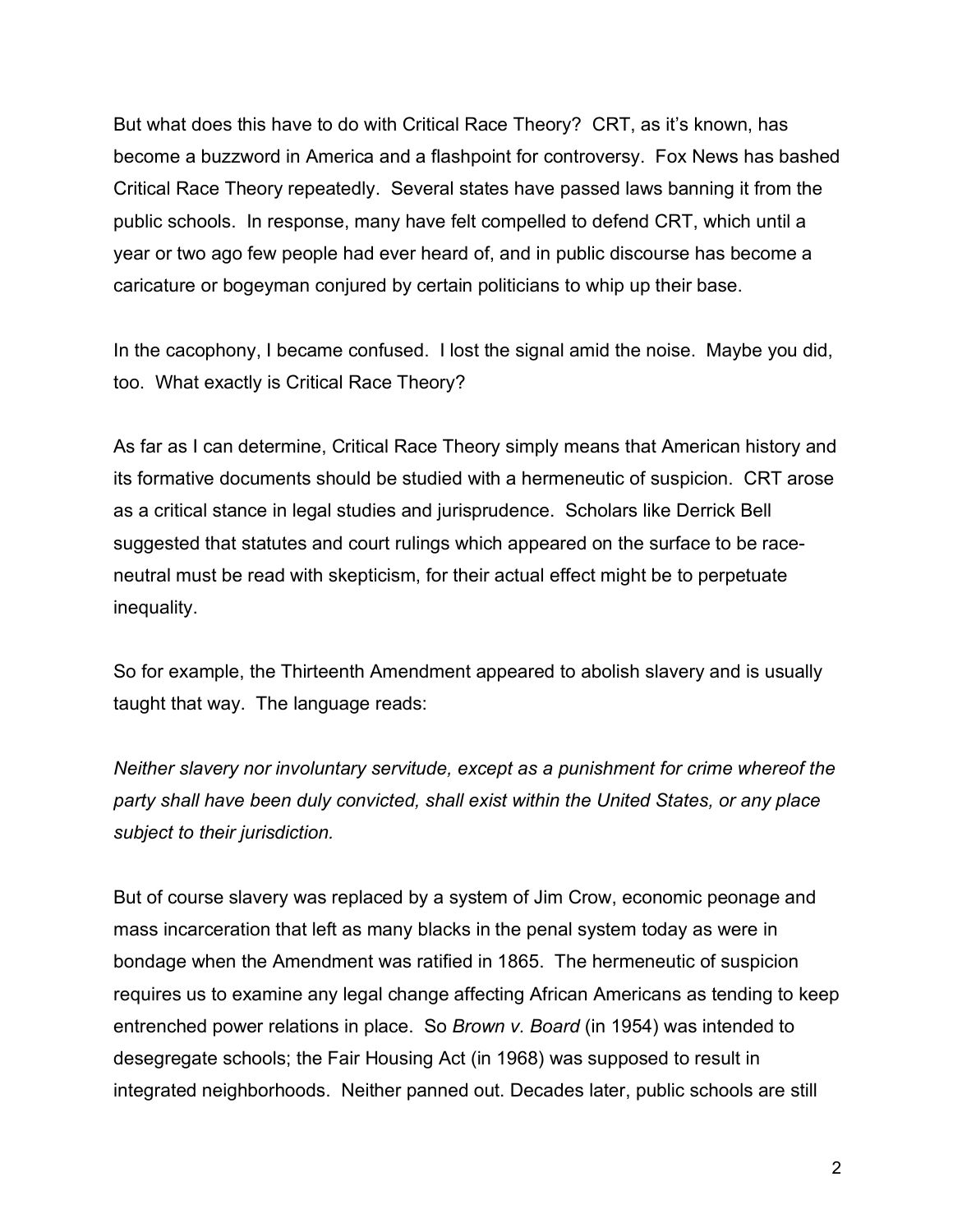But what does this have to do with Critical Race Theory? CRT, as it's known, has become a buzzword in America and a flashpoint for controversy. Fox News has bashed Critical Race Theory repeatedly. Several states have passed laws banning it from the public schools. In response, many have felt compelled to defend CRT, which until a year or two ago few people had ever heard of, and in public discourse has become a caricature or bogeyman conjured by certain politicians to whip up their base.

In the cacophony, I became confused. I lost the signal amid the noise. Maybe you did, too. What exactly is Critical Race Theory?

As far as I can determine, Critical Race Theory simply means that American history and its formative documents should be studied with a hermeneutic of suspicion. CRT arose as a critical stance in legal studies and jurisprudence. Scholars like Derrick Bell suggested that statutes and court rulings which appeared on the surface to be raceneutral must be read with skepticism, for their actual effect might be to perpetuate inequality.

So for example, the Thirteenth Amendment appeared to abolish slavery and is usually taught that way. The language reads:

*Neither slavery nor involuntary servitude, except as a punishment for crime whereof the party shall have been duly convicted, shall exist within the United States, or any place subject to their jurisdiction.*

But of course slavery was replaced by a system of Jim Crow, economic peonage and mass incarceration that left as many blacks in the penal system today as were in bondage when the Amendment was ratified in 1865. The hermeneutic of suspicion requires us to examine any legal change affecting African Americans as tending to keep entrenched power relations in place. So *Brown v. Board* (in 1954) was intended to desegregate schools; the Fair Housing Act (in 1968) was supposed to result in integrated neighborhoods. Neither panned out. Decades later, public schools are still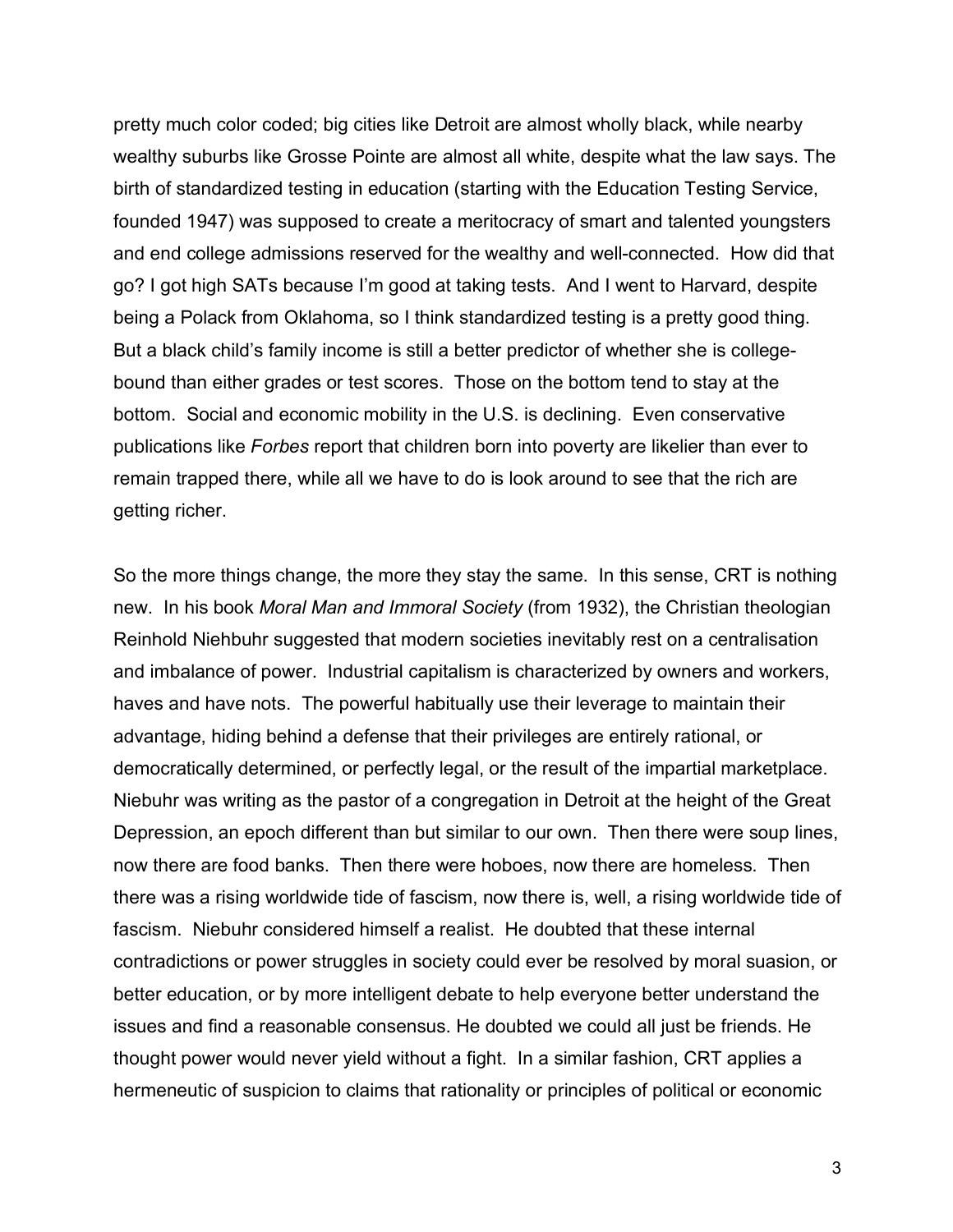pretty much color coded; big cities like Detroit are almost wholly black, while nearby wealthy suburbs like Grosse Pointe are almost all white, despite what the law says. The birth of standardized testing in education (starting with the Education Testing Service, founded 1947) was supposed to create a meritocracy of smart and talented youngsters and end college admissions reserved for the wealthy and well-connected. How did that go? I got high SATs because I'm good at taking tests. And I went to Harvard, despite being a Polack from Oklahoma, so I think standardized testing is a pretty good thing. But a black child's family income is still a better predictor of whether she is collegebound than either grades or test scores. Those on the bottom tend to stay at the bottom. Social and economic mobility in the U.S. is declining. Even conservative publications like *Forbes* report that children born into poverty are likelier than ever to remain trapped there, while all we have to do is look around to see that the rich are getting richer.

So the more things change, the more they stay the same. In this sense, CRT is nothing new. In his book *Moral Man and Immoral Society* (from 1932), the Christian theologian Reinhold Niehbuhr suggested that modern societies inevitably rest on a centralisation and imbalance of power. Industrial capitalism is characterized by owners and workers, haves and have nots. The powerful habitually use their leverage to maintain their advantage, hiding behind a defense that their privileges are entirely rational, or democratically determined, or perfectly legal, or the result of the impartial marketplace. Niebuhr was writing as the pastor of a congregation in Detroit at the height of the Great Depression, an epoch different than but similar to our own. Then there were soup lines, now there are food banks. Then there were hoboes, now there are homeless. Then there was a rising worldwide tide of fascism, now there is, well, a rising worldwide tide of fascism. Niebuhr considered himself a realist. He doubted that these internal contradictions or power struggles in society could ever be resolved by moral suasion, or better education, or by more intelligent debate to help everyone better understand the issues and find a reasonable consensus. He doubted we could all just be friends. He thought power would never yield without a fight. In a similar fashion, CRT applies a hermeneutic of suspicion to claims that rationality or principles of political or economic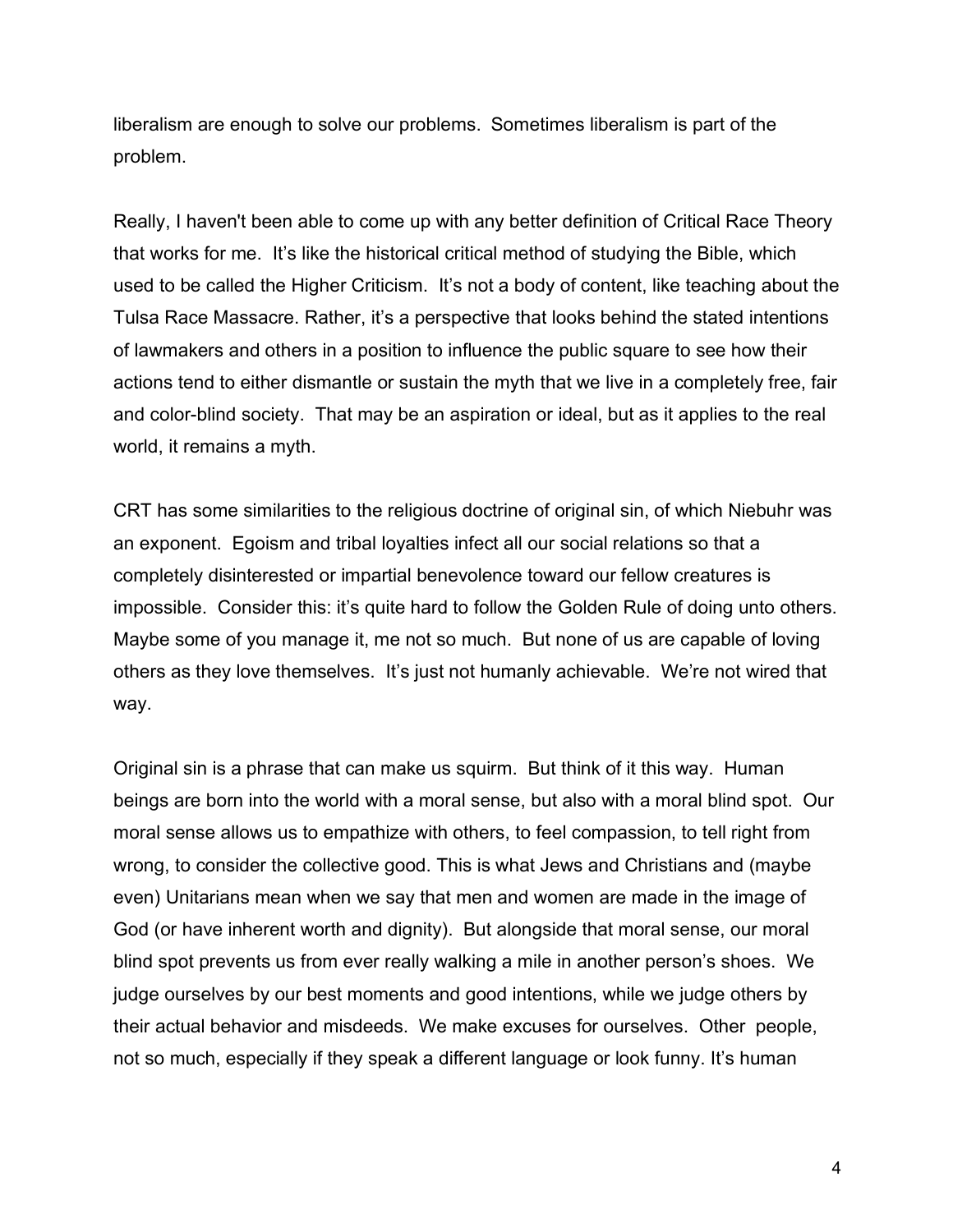liberalism are enough to solve our problems. Sometimes liberalism is part of the problem.

Really, I haven't been able to come up with any better definition of Critical Race Theory that works for me. It's like the historical critical method of studying the Bible, which used to be called the Higher Criticism. It's not a body of content, like teaching about the Tulsa Race Massacre. Rather, it's a perspective that looks behind the stated intentions of lawmakers and others in a position to influence the public square to see how their actions tend to either dismantle or sustain the myth that we live in a completely free, fair and color-blind society. That may be an aspiration or ideal, but as it applies to the real world, it remains a myth.

CRT has some similarities to the religious doctrine of original sin, of which Niebuhr was an exponent. Egoism and tribal loyalties infect all our social relations so that a completely disinterested or impartial benevolence toward our fellow creatures is impossible. Consider this: it's quite hard to follow the Golden Rule of doing unto others. Maybe some of you manage it, me not so much. But none of us are capable of loving others as they love themselves. It's just not humanly achievable. We're not wired that way.

Original sin is a phrase that can make us squirm. But think of it this way. Human beings are born into the world with a moral sense, but also with a moral blind spot. Our moral sense allows us to empathize with others, to feel compassion, to tell right from wrong, to consider the collective good. This is what Jews and Christians and (maybe even) Unitarians mean when we say that men and women are made in the image of God (or have inherent worth and dignity). But alongside that moral sense, our moral blind spot prevents us from ever really walking a mile in another person's shoes. We judge ourselves by our best moments and good intentions, while we judge others by their actual behavior and misdeeds. We make excuses for ourselves. Other people, not so much, especially if they speak a different language or look funny. It's human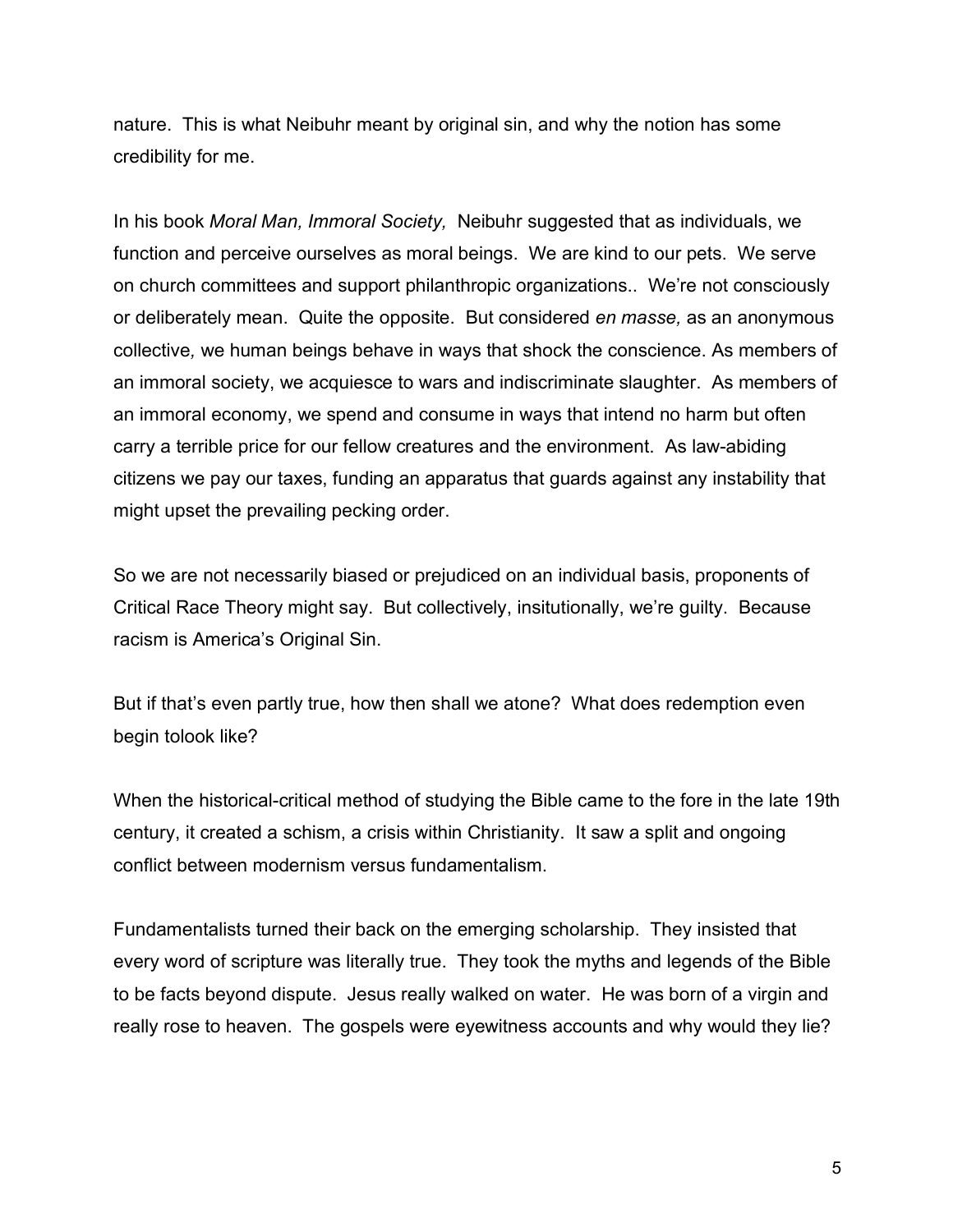nature. This is what Neibuhr meant by original sin, and why the notion has some credibility for me.

In his book *Moral Man, Immoral Society,* Neibuhr suggested that as individuals, we function and perceive ourselves as moral beings. We are kind to our pets. We serve on church committees and support philanthropic organizations.. We're not consciously or deliberately mean. Quite the opposite. But considered *en masse,* as an anonymous collective*,* we human beings behave in ways that shock the conscience. As members of an immoral society, we acquiesce to wars and indiscriminate slaughter. As members of an immoral economy, we spend and consume in ways that intend no harm but often carry a terrible price for our fellow creatures and the environment. As law-abiding citizens we pay our taxes, funding an apparatus that guards against any instability that might upset the prevailing pecking order.

So we are not necessarily biased or prejudiced on an individual basis, proponents of Critical Race Theory might say. But collectively, insitutionally, we're guilty. Because racism is America's Original Sin.

But if that's even partly true, how then shall we atone? What does redemption even begin tolook like?

When the historical-critical method of studying the Bible came to the fore in the late 19th century, it created a schism, a crisis within Christianity. It saw a split and ongoing conflict between modernism versus fundamentalism.

Fundamentalists turned their back on the emerging scholarship. They insisted that every word of scripture was literally true. They took the myths and legends of the Bible to be facts beyond dispute. Jesus really walked on water. He was born of a virgin and really rose to heaven. The gospels were eyewitness accounts and why would they lie?